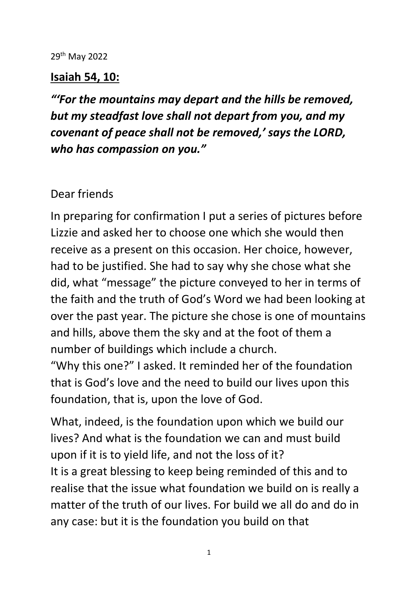## 29th May 2022

## **Isaiah 54, 10:**

*"'For the mountains may depart and the hills be removed, but my steadfast love shall not depart from you, and my covenant of peace shall not be removed,' says the LORD, who has compassion on you."*

## Dear friends

In preparing for confirmation I put a series of pictures before Lizzie and asked her to choose one which she would then receive as a present on this occasion. Her choice, however, had to be justified. She had to say why she chose what she did, what "message" the picture conveyed to her in terms of the faith and the truth of God's Word we had been looking at over the past year. The picture she chose is one of mountains and hills, above them the sky and at the foot of them a number of buildings which include a church.

"Why this one?" I asked. It reminded her of the foundation that is God's love and the need to build our lives upon this foundation, that is, upon the love of God.

What, indeed, is the foundation upon which we build our lives? And what is the foundation we can and must build upon if it is to yield life, and not the loss of it? It is a great blessing to keep being reminded of this and to realise that the issue what foundation we build on is really a matter of the truth of our lives. For build we all do and do in any case: but it is the foundation you build on that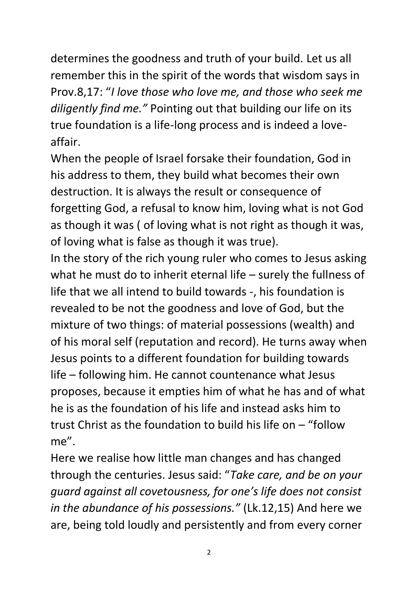determines the goodness and truth of your build. Let us all remember this in the spirit of the words that wisdom says in Prov.8,17: "*I love those who love me, and those who seek me diligently find me."* Pointing out that building our life on its true foundation is a life-long process and is indeed a loveaffair.

When the people of Israel forsake their foundation, God in his address to them, they build what becomes their own destruction. It is always the result or consequence of forgetting God, a refusal to know him, loving what is not God as though it was ( of loving what is not right as though it was, of loving what is false as though it was true).

In the story of the rich young ruler who comes to Jesus asking what he must do to inherit eternal life – surely the fullness of life that we all intend to build towards -, his foundation is revealed to be not the goodness and love of God, but the mixture of two things: of material possessions (wealth) and of his moral self (reputation and record). He turns away when Jesus points to a different foundation for building towards life – following him. He cannot countenance what Jesus proposes, because it empties him of what he has and of what he is as the foundation of his life and instead asks him to trust Christ as the foundation to build his life on – "follow me".

Here we realise how little man changes and has changed through the centuries. Jesus said: "*Take care, and be on your guard against all covetousness, for one's life does not consist in the abundance of his possessions."* (Lk.12,15) And here we are, being told loudly and persistently and from every corner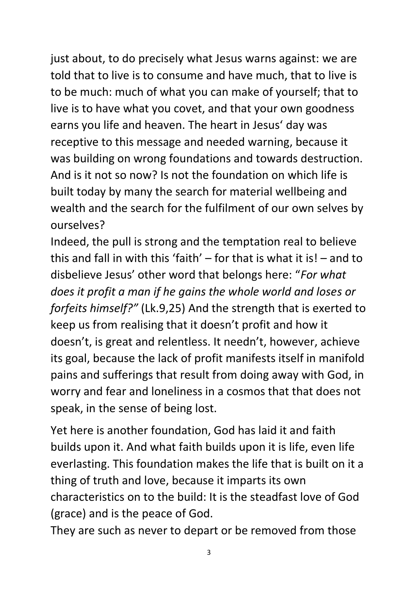just about, to do precisely what Jesus warns against: we are told that to live is to consume and have much, that to live is to be much: much of what you can make of yourself; that to live is to have what you covet, and that your own goodness earns you life and heaven. The heart in Jesus' day was receptive to this message and needed warning, because it was building on wrong foundations and towards destruction. And is it not so now? Is not the foundation on which life is built today by many the search for material wellbeing and wealth and the search for the fulfilment of our own selves by ourselves?

Indeed, the pull is strong and the temptation real to believe this and fall in with this 'faith' – for that is what it is! – and to disbelieve Jesus' other word that belongs here: "*For what does it profit a man if he gains the whole world and loses or forfeits himself?"* (Lk.9,25) And the strength that is exerted to keep us from realising that it doesn't profit and how it doesn't, is great and relentless. It needn't, however, achieve its goal, because the lack of profit manifests itself in manifold pains and sufferings that result from doing away with God, in worry and fear and loneliness in a cosmos that that does not speak, in the sense of being lost.

Yet here is another foundation, God has laid it and faith builds upon it. And what faith builds upon it is life, even life everlasting. This foundation makes the life that is built on it a thing of truth and love, because it imparts its own characteristics on to the build: It is the steadfast love of God (grace) and is the peace of God.

They are such as never to depart or be removed from those